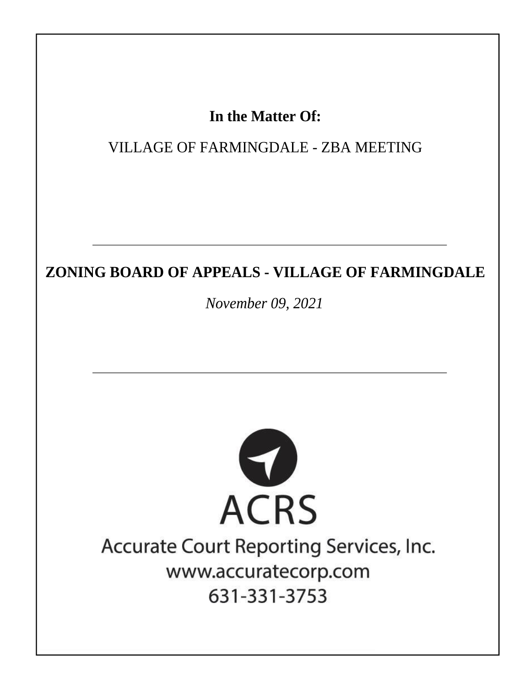## In the Matter Of:

**VILLAGE OF FARMINGDALE - ZBA MEETING** 

## ZONING BOARD OF APPEALS - VILLAGE OF FARMINGDALE

November 09, 2021



# Accurate Court Reporting Services, Inc. www.accuratecorp.com 631-331-3753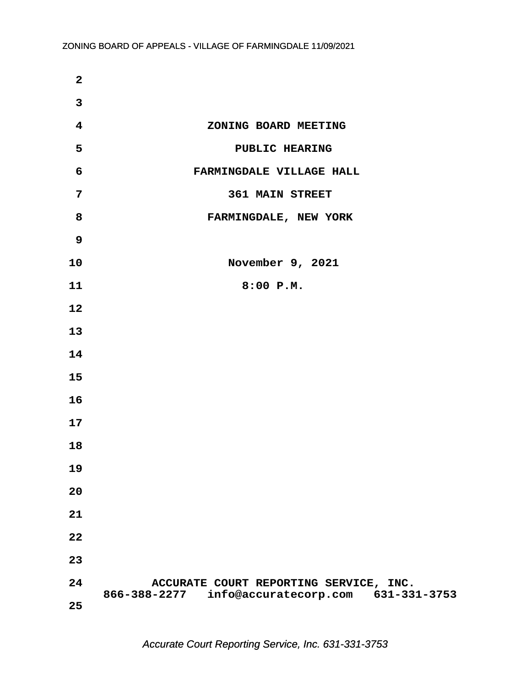| $\mathbf{2}$            |                                                                                           |
|-------------------------|-------------------------------------------------------------------------------------------|
| $\overline{\mathbf{3}}$ |                                                                                           |
| $\overline{\mathbf{4}}$ | ZONING BOARD MEETING                                                                      |
| 5                       | PUBLIC HEARING                                                                            |
| 6                       | FARMINGDALE VILLAGE HALL                                                                  |
| 7                       | <b>361 MAIN STREET</b>                                                                    |
| 8                       | FARMINGDALE, NEW YORK                                                                     |
| 9                       |                                                                                           |
| 10                      | November 9, 2021                                                                          |
| 11                      | 8:00 P.M.                                                                                 |
| 12                      |                                                                                           |
| 13                      |                                                                                           |
| 14                      |                                                                                           |
| 15                      |                                                                                           |
| 16                      |                                                                                           |
| 17                      |                                                                                           |
| 18                      |                                                                                           |
| 19                      |                                                                                           |
| 20                      |                                                                                           |
| 21                      |                                                                                           |
| 22                      |                                                                                           |
| 23                      |                                                                                           |
| 24                      | ACCURATE COURT REPORTING SERVICE, INC.<br>866-388-2277 info@accuratecorp.com 631-331-3753 |
| 25                      |                                                                                           |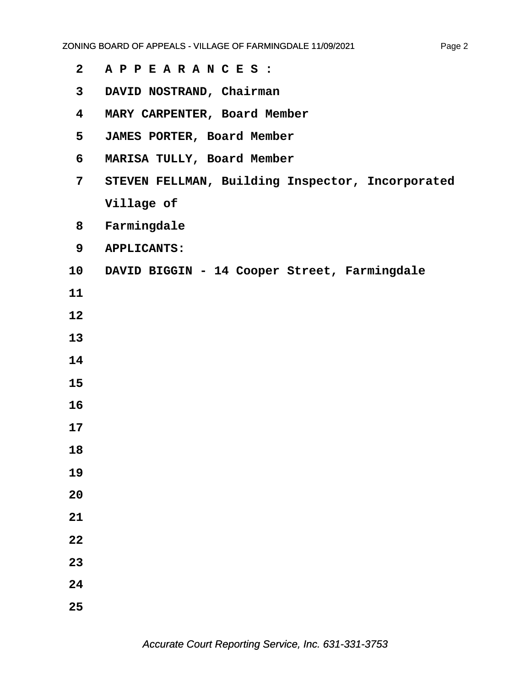- **·2· ·A P P E A R A N C E S :**
- **·3· ·DAVID NOSTRAND, Chairman**
- **·4· ·MARY CARPENTER, Board Member**
- **·5· ·JAMES PORTER, Board Member**
- **·6· ·MARISA TULLY, Board Member**
- **·7· ·STEVEN FELLMAN, Building Inspector, Incorporated Village of**
- **·8· ·Farmingdale**
- **·9· ·APPLICANTS:**
- 10 DAVID BIGGIN 14 Cooper Street, Farmingdale
- **11**
- **12**
- **13**
- **14**
- **15**
- **16**
- **17**
- **18**
- **19**
- **20**
- **21**
- **22**
- **23**
- **24**
- **25**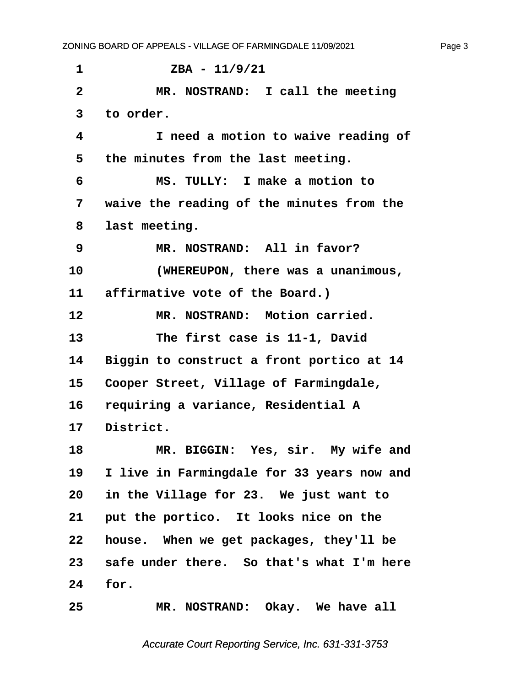<span id="page-3-0"></span>**·1· · · · · · ZBA - 11/9/21 ·2· · · · · MR. NOSTRAND:· I call the meeting ·3· ·to order. ·4· · · · · I need a motion to waive reading of ·5· ·the minutes from the last meeting. ·6· · · · · MS. TULLY:· I make a motion to ·7· ·waive the reading of the minutes from the ·8· ·last meeting. ·9· · · · · MR. NOSTRAND:· All in favor? 10· · · · · (WHEREUPON, there was a unanimous,** 11 **affirmative vote of the Board.**) 12 MR. NOSTRAND: Motion carried. 13 **The first case is 11-1, David** 14 Biggin to construct a front portico at 14 15 Cooper Street, Village of Farmingdale, 16 requiring a variance, Residential A 17 District. 18 MR. BIGGIN: Yes, sir. My wife and **19· ·I live in Farmingdale for 33 years now and 20· ·in the Village for 23.· We just want to** 21 put the portico. It looks nice on the **22· ·house.· When we get packages, they'll be** 23 safe under there. So that's what I'm here 24 **for.** 25 MR. NOSTRAND: Okay. We have all

Accurate Court Reporting Service, Inc. 631-331-3753

Page 3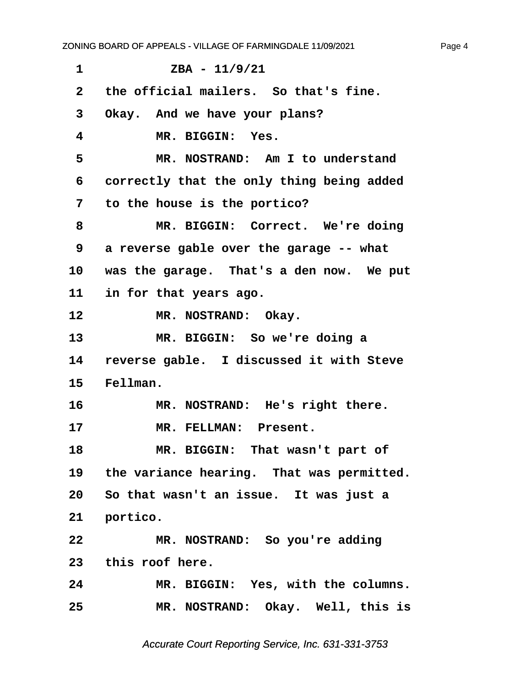<span id="page-4-0"></span>

| 1            | $ZBA - 11/9/21$                              |  |  |
|--------------|----------------------------------------------|--|--|
| $\mathbf{2}$ | the official mailers. So that's fine.        |  |  |
| 3            | Okay. And we have your plans?                |  |  |
| 4            | MR. BIGGIN: Yes.                             |  |  |
| 5            | MR. NOSTRAND: Am I to understand             |  |  |
| 6            | correctly that the only thing being added    |  |  |
| 7            | to the house is the portico?                 |  |  |
| 8            | MR. BIGGIN: Correct. We're doing             |  |  |
| 9            | a reverse gable over the garage -- what      |  |  |
| 10           | was the garage. That's a den now. We put     |  |  |
| 11 —         | in for that years ago.                       |  |  |
| 12           | MR. NOSTRAND: Okay.                          |  |  |
| 13           | MR. BIGGIN: So we're doing a                 |  |  |
| 14           | reverse gable. I discussed it with Steve     |  |  |
| 15           | Fellman.                                     |  |  |
| 16           | MR. NOSTRAND: He's right there.              |  |  |
| 17           | MR. FELLMAN: Present.                        |  |  |
| 18           | MR. BIGGIN: That wasn't part of              |  |  |
|              | 19 the variance hearing. That was permitted. |  |  |
|              | 20 So that wasn't an issue. It was just a    |  |  |
| 21           | portico.                                     |  |  |
|              |                                              |  |  |
| 22           | MR. NOSTRAND: So you're adding               |  |  |
|              | 23 this roof here.                           |  |  |
| 24           | MR. BIGGIN: Yes, with the columns.           |  |  |

Accurate Court Reporting Service, Inc. 631-331-3753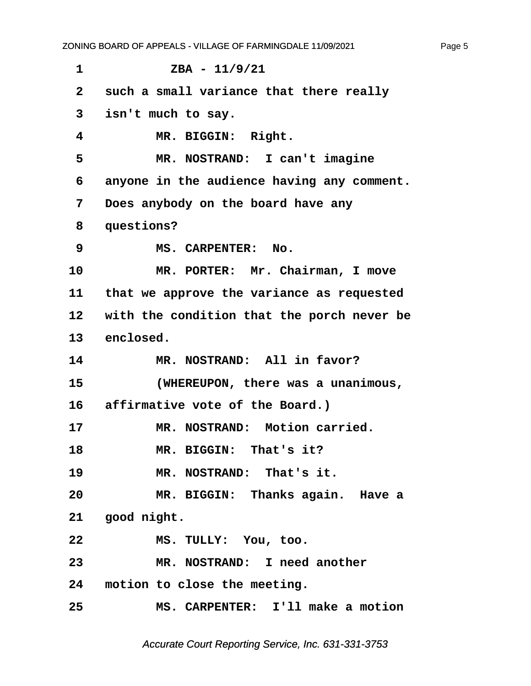<span id="page-5-0"></span>**·1· · · · · · ZBA - 11/9/21 ·2· ·such a small variance that there really ·3· ·isn't much to say.** 4 **MR. BIGGIN: Right. ·5· · · · · MR. NOSTRAND:· I can't imagine ·6· ·anyone in the audience having any comment. ·7· ·Does anybody on the board have any ·8· ·questions? ·9· · · · · MS. CARPENTER:· No.** 10 MR. PORTER: Mr. Chairman, I move 11 that we approve the variance as requested 12 with the condition that the porch never be 13 enclosed. 14 **MR. NOSTRAND:** All in favor? **15· · · · · (WHEREUPON, there was a unanimous,** 16 affirmative vote of the Board.) 17 MR. NOSTRAND: Motion carried. 18 **MR. BIGGIN: That's it?** 19 **MR. NOSTRAND:** That's it. **20· · · · · MR. BIGGIN:· Thanks again.· Have a** 21 **good night.** 22 MS. TULLY: You, too. **23· · · · · MR. NOSTRAND:· I need another** 24 motion to close the meeting. **25· · · · · MS. CARPENTER:· I'll make a motion**

Accurate Court Reporting Service, Inc. 631-331-3753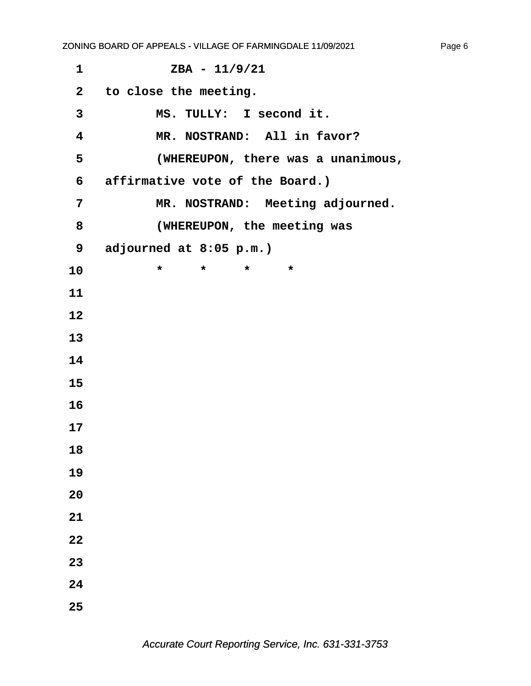**·1· · · · · · ZBA - 11/9/21 ·2· ·to close the meeting.** 3 MS. TULLY: I second it. 4 **MR. NOSTRAND:** All in favor? **·5· · · · · (WHEREUPON, there was a unanimous, ·6· ·affirmative vote of the Board.)** 7 MR. NOSTRAND: Meeting adjourned. **·8· · · · · (WHEREUPON, the meeting was ·9· ·adjourned at 8:05 p.m.)** 10 \* \* \* \* \* **11 12 13 14 15 16 17 18 19 20 21 22 23 24 25**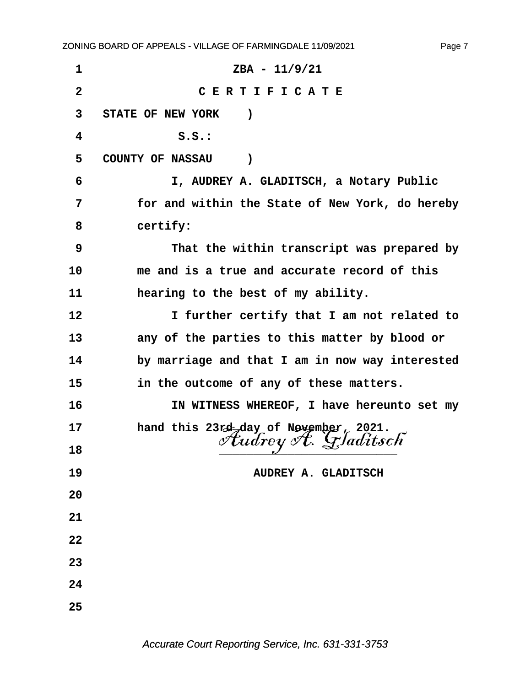**·1· · · · · · · · · · · ZBA - 11/9/21 ·2· · · · · · · · ·C E R T I F I C A T E** 3 STATE OF NEW YORK ) **·4· · · · · · · S.S.:** 5 COUNTY OF NASSAU ) **·6· · · · · · ·I, AUDREY A. GLADITSCH, a Notary Public ·7· · · · for and within the State of New York, do hereby** 8 certify: **·9· · · · · · ·That the within transcript was prepared by 10· · · · me and is a true and accurate record of this 11· · · · hearing to the best of my ability.** 12 **12 11 I** further certify that I am not related to 13 **any of the parties to this matter by blood or** 14 by marriage and that I am in now way interested **15· · · · in the outcome of any of these matters. 16· · · · · · ·IN WITNESS WHEREOF, I have hereunto set my** 17 **hand this 23rd day of November, 2021.** <sup>18</sup> *tudrey A. Gladitsch* **19· · · · · · · · · · · · ·AUDREY A. GLADITSCH 20 21 22 23 24 25**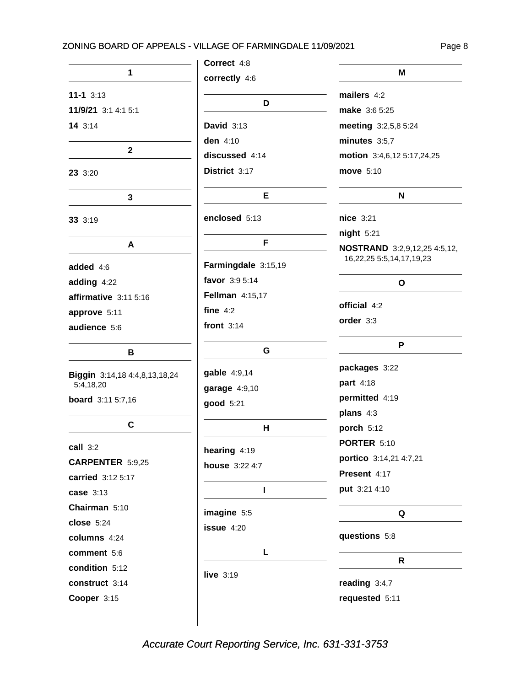#### ZONING BOARD OF APPEALS - VILLAGE OF FARMINGDALE 11/09/2021

Page 8

|                               | Correct 4:8         |                                                                        |
|-------------------------------|---------------------|------------------------------------------------------------------------|
| 1                             | correctly 4:6       | M                                                                      |
| $11-1$ 3:13                   | D                   | mailers 4:2                                                            |
| 11/9/21 3:1 4:1 5:1           |                     | <b>make</b> 3:6 5:25                                                   |
| 143:14                        | David $3:13$        | meeting 3:2,5,8 5:24                                                   |
|                               | den 4:10            | minutes $3:5,7$                                                        |
| $\mathbf{2}$                  | discussed 4:14      | motion 3:4,6,12 5:17,24,25                                             |
| 23 3:20                       | District 3:17       | move 5:10                                                              |
| $\mathbf{3}$                  | Е                   | N                                                                      |
| 33 3:19                       | enclosed 5:13       | nice 3:21                                                              |
|                               | F                   | night 5:21                                                             |
| A                             |                     | <b>NOSTRAND</b> 3:2,9,12,25 4:5,12,<br>16, 22, 25 5: 5, 14, 17, 19, 23 |
| added 4:6                     | Farmingdale 3:15,19 |                                                                        |
| adding 4:22                   | favor 3:9 5:14      | O                                                                      |
| affirmative 3:11 5:16         | Fellman 4:15,17     |                                                                        |
| approve 5:11                  | fine $4:2$          | official 4:2                                                           |
| audience 5:6                  | front $3:14$        | order 3:3                                                              |
| В                             | G                   | P                                                                      |
| Biggin 3:14,18 4:4,8,13,18,24 | gable 4:9,14        | packages 3:22                                                          |
| 5:4,18,20                     | garage 4:9,10       | part 4:18                                                              |
| board 3:11 5:7,16             | good 5:21           | permitted 4:19                                                         |
|                               |                     | plans 4:3                                                              |
| C                             | н                   | porch 5:12                                                             |
| call 3:2                      | hearing 4:19        | PORTER 5:10                                                            |
| <b>CARPENTER 5:9,25</b>       | house 3:22 4:7      | portico 3:14,21 4:7,21                                                 |
| carried 3:12 5:17             |                     | Present 4:17                                                           |
| case 3:13                     | L                   | put 3:21 4:10                                                          |
| Chairman 5:10                 | imagine 5:5         | Q                                                                      |
| $close$ 5:24                  | $i$ ssue $4:20$     |                                                                        |
| columns 4:24                  |                     | questions 5:8                                                          |
| comment 5:6                   | L                   |                                                                        |
| condition 5:12                | live $3:19$         | R                                                                      |
| construct 3:14                |                     | reading 3:4,7                                                          |
| Cooper 3:15                   |                     | requested 5:11                                                         |
|                               |                     |                                                                        |

Accurate Court Reporting Service, Inc. 631-331-3753